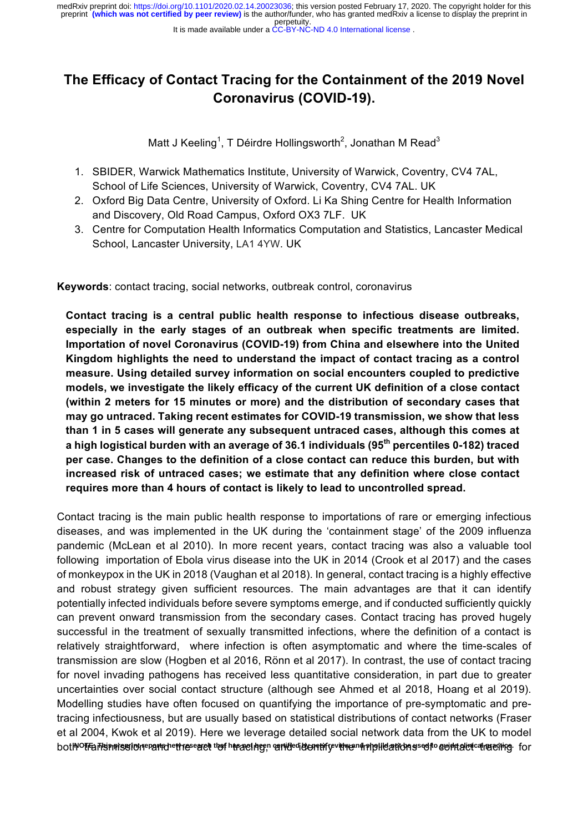It is made available under a CC-BY-NC-ND 4.0 International license.

# **The Efficacy of Contact Tracing for the Containment of the 2019 Novel Coronavirus (COVID-19).**

Matt J Keeling<sup>1</sup>, T Déirdre Hollingsworth<sup>2</sup>, Jonathan M Read<sup>3</sup>

- 1. SBIDER, Warwick Mathematics Institute, University of Warwick, Coventry, CV4 7AL, School of Life Sciences, University of Warwick, Coventry, CV4 7AL. UK
- 2. Oxford Big Data Centre, University of Oxford. Li Ka Shing Centre for Health Information and Discovery, Old Road Campus, Oxford OX3 7LF. UK
- 3. Centre for Computation Health Informatics Computation and Statistics, Lancaster Medical School, Lancaster University, LA1 4YW. UK

**Keywords**: contact tracing, social networks, outbreak control, coronavirus

**Contact tracing is a central public health response to infectious disease outbreaks, especially in the early stages of an outbreak when specific treatments are limited. Importation of novel Coronavirus (COVID-19) from China and elsewhere into the United Kingdom highlights the need to understand the impact of contact tracing as a control measure. Using detailed survey information on social encounters coupled to predictive models, we investigate the likely efficacy of the current UK definition of a close contact (within 2 meters for 15 minutes or more) and the distribution of secondary cases that may go untraced. Taking recent estimates for COVID-19 transmission, we show that less than 1 in 5 cases will generate any subsequent untraced cases, although this comes at a high logistical burden with an average of 36.1 individuals (95th percentiles 0-182) traced per case. Changes to the definition of a close contact can reduce this burden, but with increased risk of untraced cases; we estimate that any definition where close contact requires more than 4 hours of contact is likely to lead to uncontrolled spread.**

Contact tracing is the main public health response to importations of rare or emerging infectious diseases, and was implemented in the UK during the 'containment stage' of the 2009 influenza pandemic (McLean et al 2010). In more recent years, contact tracing was also a valuable tool following importation of Ebola virus disease into the UK in 2014 (Crook et al 2017) and the cases of monkeypox in the UK in 2018 (Vaughan et al 2018). In general, contact tracing is a highly effective and robust strategy given sufficient resources. The main advantages are that it can identify potentially infected individuals before severe symptoms emerge, and if conducted sufficiently quickly can prevent onward transmission from the secondary cases. Contact tracing has proved hugely successful in the treatment of sexually transmitted infections, where the definition of a contact is relatively straightforward, where infection is often asymptomatic and where the time-scales of transmission are slow (Hogben et al 2016, Rönn et al 2017). In contrast, the use of contact tracing for novel invading pathogens has received less quantitative consideration, in part due to greater uncertainties over social contact structure (although see Ahmed et al 2018, Hoang et al 2019). Modelling studies have often focused on quantifying the importance of pre-symptomatic and pretracing infectiousness, but are usually based on statistical distributions of contact networks (Fraser et al 2004, Kwok et al 2019). Here we leverage detailed social network data from the UK to model bothPolfansinnissionepanohetheseact tof htracing; onnidedicontifyvitnen intplicationsecto contakcio tracing for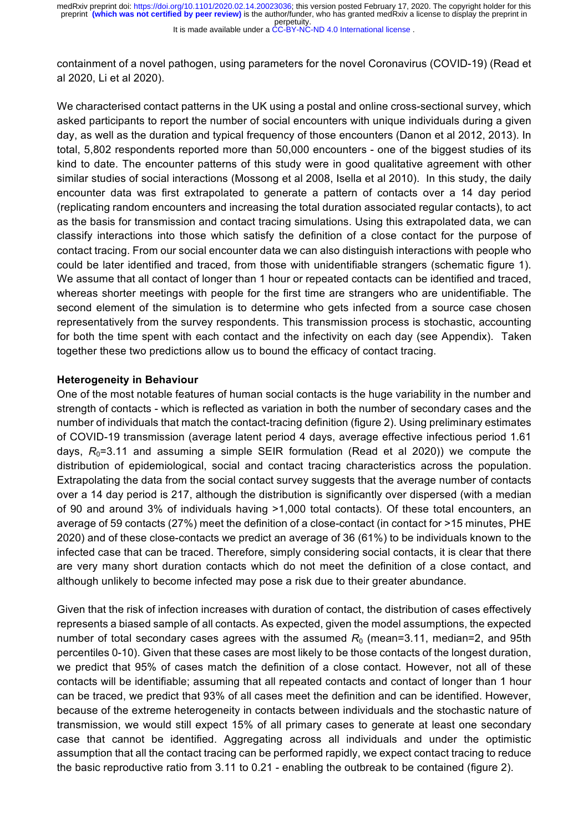containment of a novel pathogen, using parameters for the novel Coronavirus (COVID-19) (Read et al 2020, Li et al 2020).

We characterised contact patterns in the UK using a postal and online cross-sectional survey, which asked participants to report the number of social encounters with unique individuals during a given day, as well as the duration and typical frequency of those encounters (Danon et al 2012, 2013). In total, 5,802 respondents reported more than 50,000 encounters - one of the biggest studies of its kind to date. The encounter patterns of this study were in good qualitative agreement with other similar studies of social interactions (Mossong et al 2008, Isella et al 2010). In this study, the daily encounter data was first extrapolated to generate a pattern of contacts over a 14 day period (replicating random encounters and increasing the total duration associated regular contacts), to act as the basis for transmission and contact tracing simulations. Using this extrapolated data, we can classify interactions into those which satisfy the definition of a close contact for the purpose of contact tracing. From our social encounter data we can also distinguish interactions with people who could be later identified and traced, from those with unidentifiable strangers (schematic figure 1). We assume that all contact of longer than 1 hour or repeated contacts can be identified and traced, whereas shorter meetings with people for the first time are strangers who are unidentifiable. The second element of the simulation is to determine who gets infected from a source case chosen representatively from the survey respondents. This transmission process is stochastic, accounting for both the time spent with each contact and the infectivity on each day (see Appendix). Taken together these two predictions allow us to bound the efficacy of contact tracing.

### **Heterogeneity in Behaviour**

One of the most notable features of human social contacts is the huge variability in the number and strength of contacts - which is reflected as variation in both the number of secondary cases and the number of individuals that match the contact-tracing definition (figure 2). Using preliminary estimates of COVID-19 transmission (average latent period 4 days, average effective infectious period 1.61 days,  $R_0$ =3.11 and assuming a simple SEIR formulation (Read et al 2020)) we compute the distribution of epidemiological, social and contact tracing characteristics across the population. Extrapolating the data from the social contact survey suggests that the average number of contacts over a 14 day period is 217, although the distribution is significantly over dispersed (with a median of 90 and around 3% of individuals having >1,000 total contacts). Of these total encounters, an average of 59 contacts (27%) meet the definition of a close-contact (in contact for >15 minutes, PHE 2020) and of these close-contacts we predict an average of 36 (61%) to be individuals known to the infected case that can be traced. Therefore, simply considering social contacts, it is clear that there are very many short duration contacts which do not meet the definition of a close contact, and although unlikely to become infected may pose a risk due to their greater abundance.

Given that the risk of infection increases with duration of contact, the distribution of cases effectively represents a biased sample of all contacts. As expected, given the model assumptions, the expected number of total secondary cases agrees with the assumed R<sub>0</sub> (mean=3.11, median=2, and 95th percentiles 0-10). Given that these cases are most likely to be those contacts of the longest duration, we predict that 95% of cases match the definition of a close contact. However, not all of these contacts will be identifiable; assuming that all repeated contacts and contact of longer than 1 hour can be traced, we predict that 93% of all cases meet the definition and can be identified. However, because of the extreme heterogeneity in contacts between individuals and the stochastic nature of transmission, we would still expect 15% of all primary cases to generate at least one secondary case that cannot be identified. Aggregating across all individuals and under the optimistic assumption that all the contact tracing can be performed rapidly, we expect contact tracing to reduce the basic reproductive ratio from 3.11 to 0.21 - enabling the outbreak to be contained (figure 2).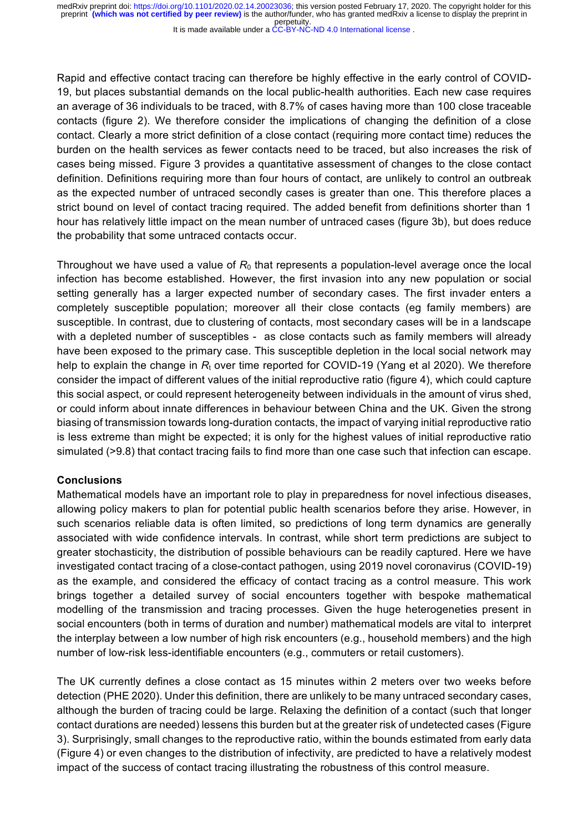It is made available under a CC-BY-NC-ND 4.0 International license.

Rapid and effective contact tracing can therefore be highly effective in the early control of COVID-19, but places substantial demands on the local public-health authorities. Each new case requires an average of 36 individuals to be traced, with 8.7% of cases having more than 100 close traceable contacts (figure 2). We therefore consider the implications of changing the definition of a close contact. Clearly a more strict definition of a close contact (requiring more contact time) reduces the burden on the health services as fewer contacts need to be traced, but also increases the risk of cases being missed. Figure 3 provides a quantitative assessment of changes to the close contact definition. Definitions requiring more than four hours of contact, are unlikely to control an outbreak as the expected number of untraced secondly cases is greater than one. This therefore places a strict bound on level of contact tracing required. The added benefit from definitions shorter than 1 hour has relatively little impact on the mean number of untraced cases (figure 3b), but does reduce the probability that some untraced contacts occur.

Throughout we have used a value of  $R_0$  that represents a population-level average once the local infection has become established. However, the first invasion into any new population or social setting generally has a larger expected number of secondary cases. The first invader enters a completely susceptible population; moreover all their close contacts (eg family members) are susceptible. In contrast, due to clustering of contacts, most secondary cases will be in a landscape with a depleted number of susceptibles - as close contacts such as family members will already have been exposed to the primary case. This susceptible depletion in the local social network may help to explain the change in  $R_t$  over time reported for COVID-19 (Yang et al 2020). We therefore consider the impact of different values of the initial reproductive ratio (figure 4), which could capture this social aspect, or could represent heterogeneity between individuals in the amount of virus shed, or could inform about innate differences in behaviour between China and the UK. Given the strong biasing of transmission towards long-duration contacts, the impact of varying initial reproductive ratio is less extreme than might be expected; it is only for the highest values of initial reproductive ratio simulated (>9.8) that contact tracing fails to find more than one case such that infection can escape.

## **Conclusions**

Mathematical models have an important role to play in preparedness for novel infectious diseases, allowing policy makers to plan for potential public health scenarios before they arise. However, in such scenarios reliable data is often limited, so predictions of long term dynamics are generally associated with wide confidence intervals. In contrast, while short term predictions are subject to greater stochasticity, the distribution of possible behaviours can be readily captured. Here we have investigated contact tracing of a close-contact pathogen, using 2019 novel coronavirus (COVID-19) as the example, and considered the efficacy of contact tracing as a control measure. This work brings together a detailed survey of social encounters together with bespoke mathematical modelling of the transmission and tracing processes. Given the huge heterogeneties present in social encounters (both in terms of duration and number) mathematical models are vital to interpret the interplay between a low number of high risk encounters (e.g., household members) and the high number of low-risk less-identifiable encounters (e.g., commuters or retail customers).

The UK currently defines a close contact as 15 minutes within 2 meters over two weeks before detection (PHE 2020). Under this definition, there are unlikely to be many untraced secondary cases, although the burden of tracing could be large. Relaxing the definition of a contact (such that longer contact durations are needed) lessens this burden but at the greater risk of undetected cases (Figure 3). Surprisingly, small changes to the reproductive ratio, within the bounds estimated from early data (Figure 4) or even changes to the distribution of infectivity, are predicted to have a relatively modest impact of the success of contact tracing illustrating the robustness of this control measure.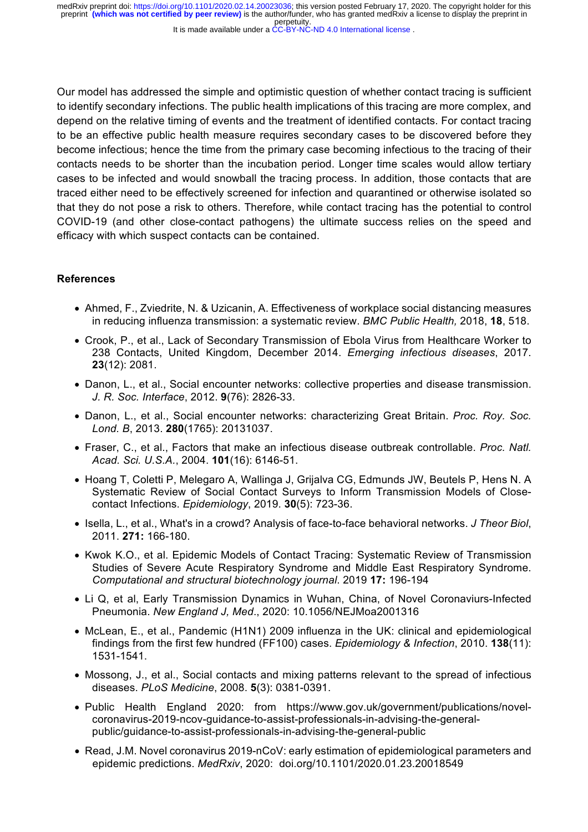It is made available under a CC-BY-NC-ND 4.0 International license.

Our model has addressed the simple and optimistic question of whether contact tracing is sufficient to identify secondary infections. The public health implications of this tracing are more complex, and depend on the relative timing of events and the treatment of identified contacts. For contact tracing to be an effective public health measure requires secondary cases to be discovered before they become infectious; hence the time from the primary case becoming infectious to the tracing of their contacts needs to be shorter than the incubation period. Longer time scales would allow tertiary cases to be infected and would snowball the tracing process. In addition, those contacts that are traced either need to be effectively screened for infection and quarantined or otherwise isolated so that they do not pose a risk to others. Therefore, while contact tracing has the potential to control COVID-19 (and other close-contact pathogens) the ultimate success relies on the speed and efficacy with which suspect contacts can be contained.

# **References**

- Ahmed, F., Zviedrite, N. & Uzicanin, A. Effectiveness of workplace social distancing measures in reducing influenza transmission: a systematic review. *BMC Public Health,* 2018, **18**, 518.
- Crook, P., et al., Lack of Secondary Transmission of Ebola Virus from Healthcare Worker to 238 Contacts, United Kingdom, December 2014. *Emerging infectious diseases*, 2017. **23**(12): 2081.
- Danon, L., et al., Social encounter networks: collective properties and disease transmission. *J. R. Soc. Interface*, 2012. **9**(76): 2826-33.
- Danon, L., et al., Social encounter networks: characterizing Great Britain. *Proc. Roy. Soc. Lond. B*, 2013. **280**(1765): 20131037.
- Fraser, C., et al., Factors that make an infectious disease outbreak controllable. *Proc. Natl. Acad. Sci. U.S.A.*, 2004. **101**(16): 6146-51.
- Hoang T, Coletti P, Melegaro A, Wallinga J, Grijalva CG, Edmunds JW, Beutels P, Hens N. A Systematic Review of Social Contact Surveys to Inform Transmission Models of Closecontact Infections. *Epidemiology*, 2019. **30**(5): 723-36.
- Isella, L., et al., What's in a crowd? Analysis of face-to-face behavioral networks. *J Theor Biol*, 2011. **271:** 166-180.
- Kwok K.O., et al. Epidemic Models of Contact Tracing: Systematic Review of Transmission Studies of Severe Acute Respiratory Syndrome and Middle East Respiratory Syndrome. *Computational and structural biotechnology journal*. 2019 **17:** 196-194
- Li Q, et al, Early Transmission Dynamics in Wuhan, China, of Novel Coronaviurs-Infected Pneumonia. *New England J, Med*., 2020: 10.1056/NEJMoa2001316
- McLean, E., et al., Pandemic (H1N1) 2009 influenza in the UK: clinical and epidemiological findings from the first few hundred (FF100) cases. *Epidemiology & Infection*, 2010. **138**(11): 1531-1541.
- Mossong, J., et al., Social contacts and mixing patterns relevant to the spread of infectious diseases. *PLoS Medicine*, 2008. **5**(3): 0381-0391.
- Public Health England 2020: from https://www.gov.uk/government/publications/novelcoronavirus-2019-ncov-guidance-to-assist-professionals-in-advising-the-generalpublic/guidance-to-assist-professionals-in-advising-the-general-public
- Read, J.M. Novel coronavirus 2019-nCoV: early estimation of epidemiological parameters and epidemic predictions. *MedRxiv*, 2020: doi.org/10.1101/2020.01.23.20018549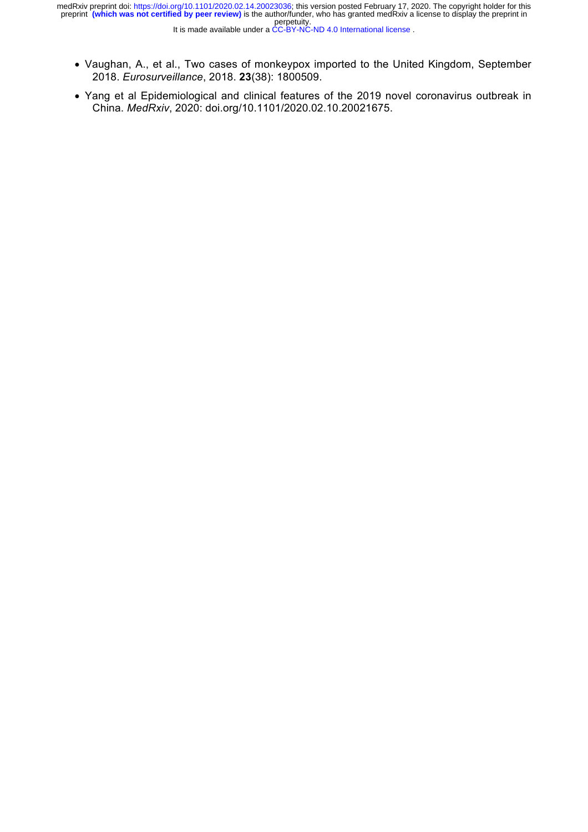- Vaughan, A., et al., Two cases of monkeypox imported to the United Kingdom, September 2018. *Eurosurveillance*, 2018. **23**(38): 1800509.
- Yang et al Epidemiological and clinical features of the 2019 novel coronavirus outbreak in China. *MedRxiv*, 2020: doi.org/10.1101/2020.02.10.20021675.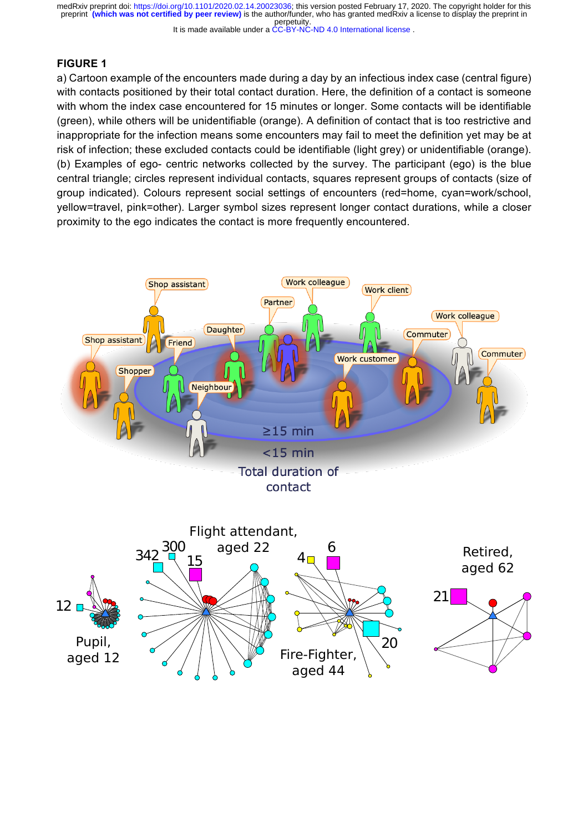It is made available under a CC-BY-NC-ND 4.0 International license.

## **FIGURE 1**

a) Cartoon example of the encounters made during a day by an infectious index case (central figure) with contacts positioned by their total contact duration. Here, the definition of a contact is someone with whom the index case encountered for 15 minutes or longer. Some contacts will be identifiable (green), while others will be unidentifiable (orange). A definition of contact that is too restrictive and inappropriate for the infection means some encounters may fail to meet the definition yet may be at risk of infection; these excluded contacts could be identifiable (light grey) or unidentifiable (orange). (b) Examples of ego- centric networks collected by the survey. The participant (ego) is the blue central triangle; circles represent individual contacts, squares represent groups of contacts (size of group indicated). Colours represent social settings of encounters (red=home, cyan=work/school, yellow=travel, pink=other). Larger symbol sizes represent longer contact durations, while a closer proximity to the ego indicates the contact is more frequently encountered.

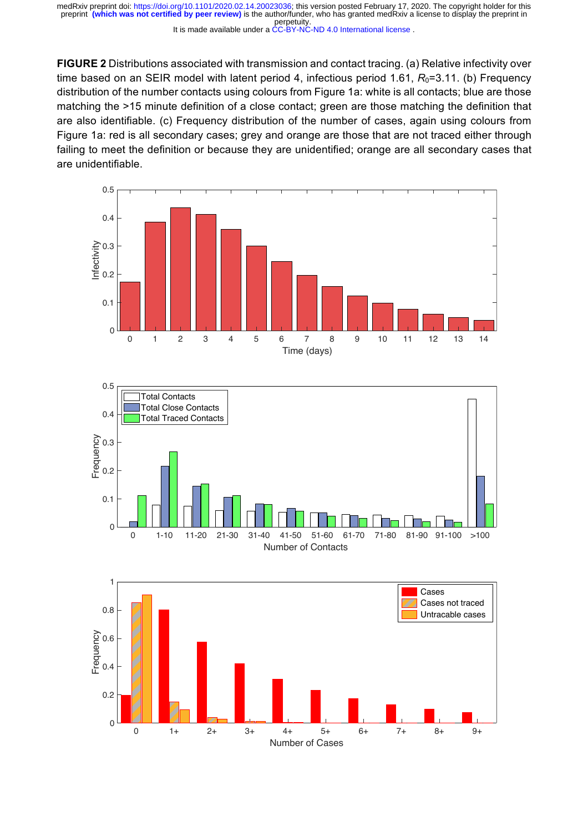It is made available under a CC-BY-NC-ND 4.0 International license.

**FIGURE 2** Distributions associated with transmission and contact tracing. (a) Relative infectivity over time based on an SEIR model with latent period 4, infectious period 1.61,  $R_0$ =3.11. (b) Frequency distribution of the number contacts using colours from Figure 1a: white is all contacts; blue are those matching the >15 minute definition of a close contact; green are those matching the definition that are also identifiable. (c) Frequency distribution of the number of cases, again using colours from Figure 1a: red is all secondary cases; grey and orange are those that are not traced either through failing to meet the definition or because they are unidentified; orange are all secondary cases that are unidentifiable.





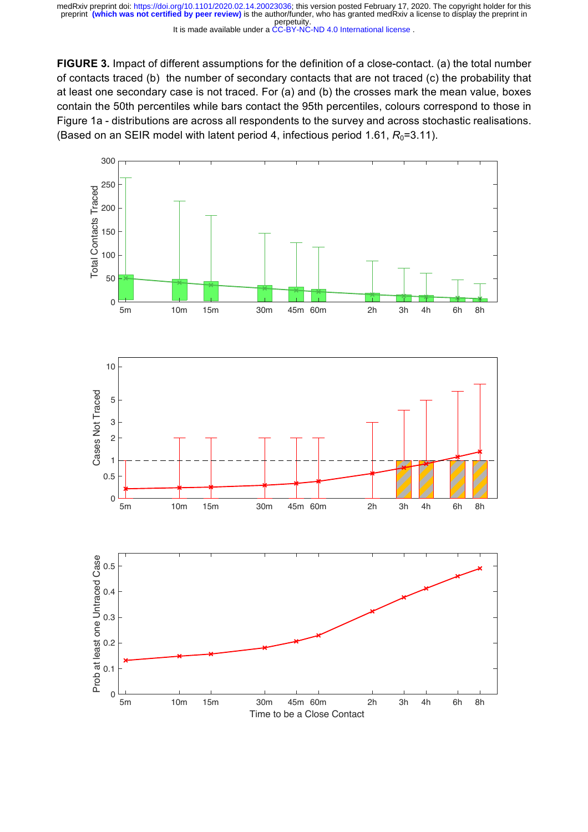It is made available under a CC-BY-NC-ND 4.0 International license.

**FIGURE 3.** Impact of different assumptions for the definition of a close-contact. (a) the total number of contacts traced (b) the number of secondary contacts that are not traced (c) the probability that at least one secondary case is not traced. For (a) and (b) the crosses mark the mean value, boxes contain the 50th percentiles while bars contact the 95th percentiles, colours correspond to those in Figure 1a - distributions are across all respondents to the survey and across stochastic realisations. (Based on an SEIR model with latent period 4, infectious period 1.61,  $R_0$ =3.11).

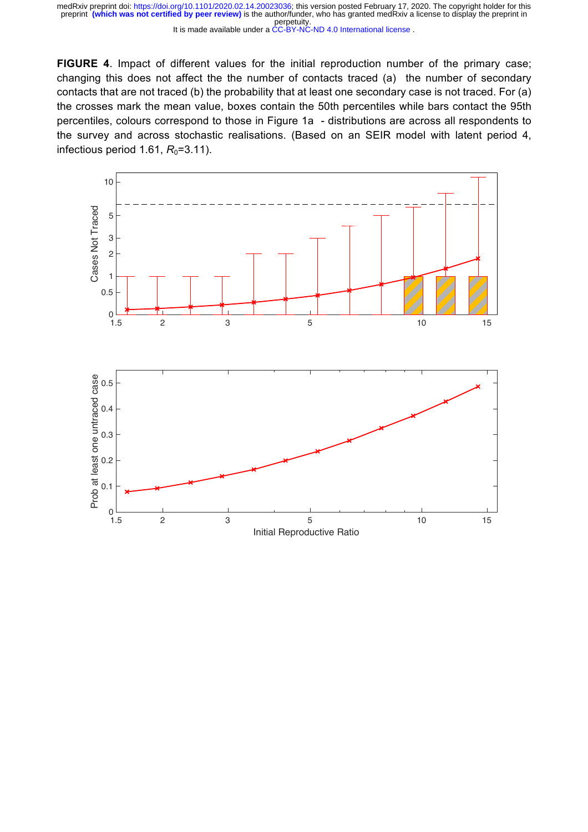It is made available under a CC-BY-NC-ND 4.0 International license.

**FIGURE 4**. Impact of different values for the initial reproduction number of the primary case; changing this does not affect the the number of contacts traced (a) the number of secondary contacts that are not traced (b) the probability that at least one secondary case is not traced. For (a) the crosses mark the mean value, boxes contain the 50th percentiles while bars contact the 95th percentiles, colours correspond to those in Figure 1a - distributions are across all respondents to the survey and across stochastic realisations. (Based on an SEIR model with latent period 4, infectious period 1.61,  $R_0$ =3.11).